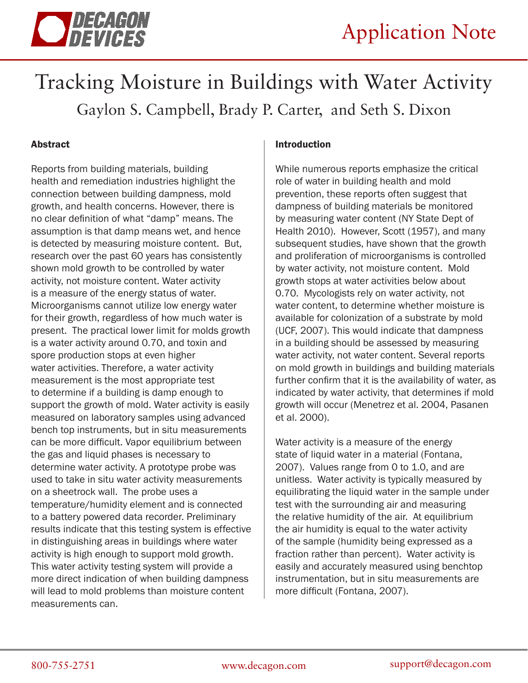

# Tracking Moisture in Buildings with Water Activity Gaylon S. Campbell, Brady P. Carter, and Seth S. Dixon

## Abstract

Reports from building materials, building health and remediation industries highlight the connection between building dampness, mold growth, and health concerns. However, there is no clear definition of what "damp" means. The assumption is that damp means wet, and hence is detected by measuring moisture content. But, research over the past 60 years has consistently shown mold growth to be controlled by water activity, not moisture content. Water activity is a measure of the energy status of water. Microorganisms cannot utilize low energy water for their growth, regardless of how much water is present. The practical lower limit for molds growth is a water activity around 0.70, and toxin and spore production stops at even higher water activities. Therefore, a water activity measurement is the most appropriate test to determine if a building is damp enough to support the growth of mold. Water activity is easily measured on laboratory samples using advanced bench top instruments, but in situ measurements can be more difficult. Vapor equilibrium between the gas and liquid phases is necessary to determine water activity. A prototype probe was used to take in situ water activity measurements on a sheetrock wall. The probe uses a temperature/humidity element and is connected to a battery powered data recorder. Preliminary results indicate that this testing system is effective in distinguishing areas in buildings where water activity is high enough to support mold growth. This water activity testing system will provide a more direct indication of when building dampness will lead to mold problems than moisture content measurements can.

#### Introduction

While numerous reports emphasize the critical role of water in building health and mold prevention, these reports often suggest that dampness of building materials be monitored by measuring water content (NY State Dept of Health 2010). However, Scott (1957), and many subsequent studies, have shown that the growth and proliferation of microorganisms is controlled by water activity, not moisture content. Mold growth stops at water activities below about 0.70. Mycologists rely on water activity, not water content, to determine whether moisture is available for colonization of a substrate by mold (UCF, 2007). This would indicate that dampness in a building should be assessed by measuring water activity, not water content. Several reports on mold growth in buildings and building materials further confirm that it is the availability of water, as indicated by water activity, that determines if mold growth will occur (Menetrez et al. 2004, Pasanen et al. 2000).

Water activity is a measure of the energy state of liquid water in a material (Fontana, 2007). Values range from 0 to 1.0, and are unitless. Water activity is typically measured by equilibrating the liquid water in the sample under test with the surrounding air and measuring the relative humidity of the air. At equilibrium the air humidity is equal to the water activity of the sample (humidity being expressed as a fraction rather than percent). Water activity is easily and accurately measured using benchtop instrumentation, but in situ measurements are more difficult (Fontana, 2007).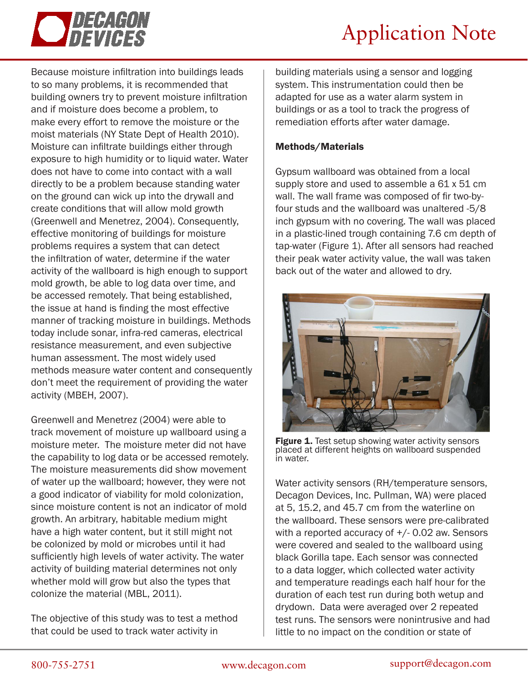

# Application Note

Because moisture infiltration into buildings leads to so many problems, it is recommended that building owners try to prevent moisture infiltration and if moisture does become a problem, to make every effort to remove the moisture or the moist materials (NY State Dept of Health 2010). Moisture can infiltrate buildings either through exposure to high humidity or to liquid water. Water does not have to come into contact with a wall directly to be a problem because standing water on the ground can wick up into the drywall and create conditions that will allow mold growth (Greenwell and Menetrez, 2004). Consequently, effective monitoring of buildings for moisture problems requires a system that can detect the infiltration of water, determine if the water activity of the wallboard is high enough to support mold growth, be able to log data over time, and be accessed remotely. That being established, the issue at hand is finding the most effective manner of tracking moisture in buildings. Methods today include sonar, infra-red cameras, electrical resistance measurement, and even subjective human assessment. The most widely used methods measure water content and consequently don't meet the requirement of providing the water activity (MBEH, 2007).

Greenwell and Menetrez (2004) were able to track movement of moisture up wallboard using a moisture meter. The moisture meter did not have the capability to log data or be accessed remotely. The moisture measurements did show movement of water up the wallboard; however, they were not a good indicator of viability for mold colonization, since moisture content is not an indicator of mold growth. An arbitrary, habitable medium might have a high water content, but it still might not be colonized by mold or microbes until it had sufficiently high levels of water activity. The water activity of building material determines not only whether mold will grow but also the types that colonize the material (MBL, 2011).

The objective of this study was to test a method that could be used to track water activity in

building materials using a sensor and logging system. This instrumentation could then be adapted for use as a water alarm system in buildings or as a tool to track the progress of remediation efforts after water damage.

### Methods/Materials

Gypsum wallboard was obtained from a local supply store and used to assemble a 61 x 51 cm wall. The wall frame was composed of fir two-byfour studs and the wallboard was unaltered -5/8 inch gypsum with no covering. The wall was placed in a plastic-lined trough containing 7.6 cm depth of tap-water (Figure 1). After all sensors had reached their peak water activity value, the wall was taken back out of the water and allowed to dry.



Figure 1. Test setup showing water activity sensors placed at different heights on wallboard suspended in water.

Water activity sensors (RH/temperature sensors, Decagon Devices, Inc. Pullman, WA) were placed at 5, 15.2, and 45.7 cm from the waterline on the wallboard. These sensors were pre-calibrated with a reported accuracy of +/- 0.02 aw. Sensors were covered and sealed to the wallboard using black Gorilla tape. Each sensor was connected to a data logger, which collected water activity and temperature readings each half hour for the duration of each test run during both wetup and drydown. Data were averaged over 2 repeated test runs. The sensors were nonintrusive and had little to no impact on the condition or state of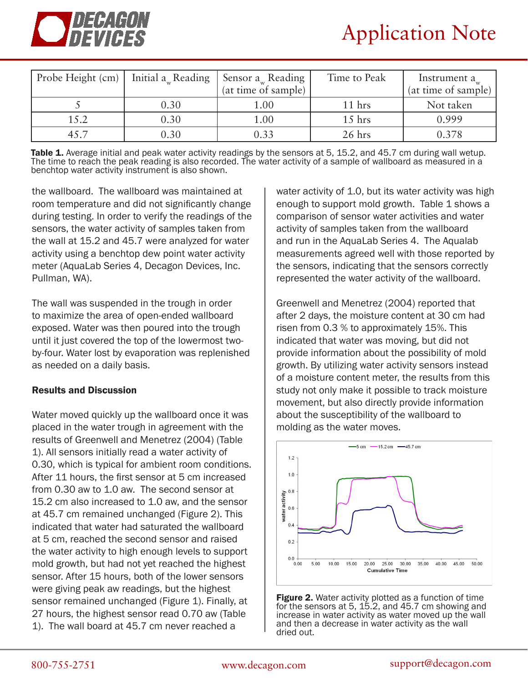

| Probe Height (cm) $\vert$ Initial a <sub>w</sub> Reading |      | Sensor $a_w$ Reading | Time to Peak | Instrument $a_{\mu}$ |
|----------------------------------------------------------|------|----------------------|--------------|----------------------|
|                                                          |      | (at time of sample)  |              | (at time of sample)  |
|                                                          | 0.30 | $1.00\,$             | $11$ hrs     | Not taken            |
| 15.2                                                     | 0.30 | $1.00\,$             | $15$ hrs     | 0.999                |
|                                                          | 0.30 |                      | $26$ hrs     | 0.378                |

Table 1. Average initial and peak water activity readings by the sensors at 5, 15.2, and 45.7 cm during wall wetup. The time to reach the peak reading is also recorded. The water activity of a sample of wallboard as measured in a benchtop water activity instrument is also shown.

the wallboard. The wallboard was maintained at room temperature and did not significantly change during testing. In order to verify the readings of the sensors, the water activity of samples taken from the wall at 15.2 and 45.7 were analyzed for water activity using a benchtop dew point water activity meter (AquaLab Series 4, Decagon Devices, Inc. Pullman, WA).

The wall was suspended in the trough in order to maximize the area of open-ended wallboard exposed. Water was then poured into the trough until it just covered the top of the lowermost twoby-four. Water lost by evaporation was replenished as needed on a daily basis.

#### Results and Discussion

Water moved quickly up the wallboard once it was placed in the water trough in agreement with the results of Greenwell and Menetrez (2004) (Table 1). All sensors initially read a water activity of 0.30, which is typical for ambient room conditions. After 11 hours, the first sensor at 5 cm increased from 0.30 aw to 1.0 aw. The second sensor at 15.2 cm also increased to 1.0 aw, and the sensor at 45.7 cm remained unchanged (Figure 2). This indicated that water had saturated the wallboard at 5 cm, reached the second sensor and raised the water activity to high enough levels to support mold growth, but had not yet reached the highest sensor. After 15 hours, both of the lower sensors were giving peak aw readings, but the highest sensor remained unchanged (Figure 1). Finally, at 27 hours, the highest sensor read 0.70 aw (Table 1). The wall board at 45.7 cm never reached a

water activity of 1.0, but its water activity was high enough to support mold growth. Table 1 shows a comparison of sensor water activities and water activity of samples taken from the wallboard and run in the AquaLab Series 4. The Aqualab measurements agreed well with those reported by the sensors, indicating that the sensors correctly represented the water activity of the wallboard.

Greenwell and Menetrez (2004) reported that after 2 days, the moisture content at 30 cm had risen from 0.3 % to approximately 15%. This indicated that water was moving, but did not provide information about the possibility of mold growth. By utilizing water activity sensors instead of a moisture content meter, the results from this study not only make it possible to track moisture movement, but also directly provide information about the susceptibility of the wallboard to molding as the water moves.



Figure 2. Water activity plotted as a function of time for the sensors at 5, 15.2, and 45.7 cm showing and increase in water activity as water moved up the wall and then a decrease in water activity as the wall dried out.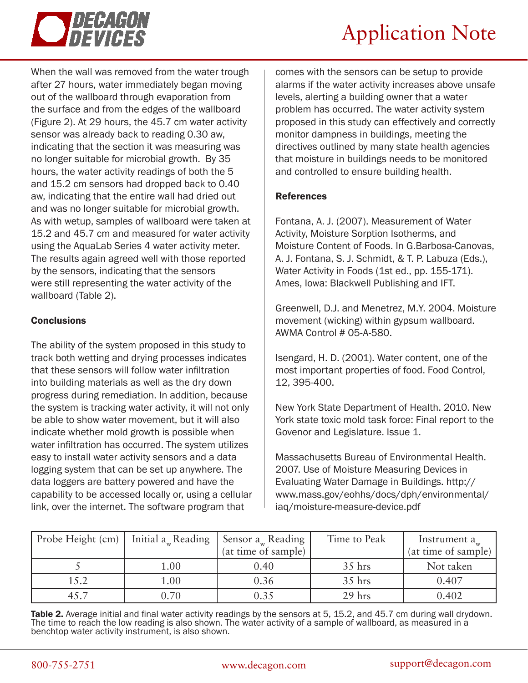

# Application Note

When the wall was removed from the water trough after 27 hours, water immediately began moving out of the wallboard through evaporation from the surface and from the edges of the wallboard (Figure 2). At 29 hours, the 45.7 cm water activity sensor was already back to reading 0.30 aw, indicating that the section it was measuring was no longer suitable for microbial growth. By 35 hours, the water activity readings of both the 5 and 15.2 cm sensors had dropped back to 0.40 aw, indicating that the entire wall had dried out and was no longer suitable for microbial growth. As with wetup, samples of wallboard were taken at 15.2 and 45.7 cm and measured for water activity using the AquaLab Series 4 water activity meter. The results again agreed well with those reported by the sensors, indicating that the sensors were still representing the water activity of the wallboard (Table 2).

## **Conclusions**

The ability of the system proposed in this study to track both wetting and drying processes indicates that these sensors will follow water infiltration into building materials as well as the dry down progress during remediation. In addition, because the system is tracking water activity, it will not only be able to show water movement, but it will also indicate whether mold growth is possible when water infiltration has occurred. The system utilizes easy to install water activity sensors and a data logging system that can be set up anywhere. The data loggers are battery powered and have the capability to be accessed locally or, using a cellular link, over the internet. The software program that

comes with the sensors can be setup to provide alarms if the water activity increases above unsafe levels, alerting a building owner that a water problem has occurred. The water activity system proposed in this study can effectively and correctly monitor dampness in buildings, meeting the directives outlined by many state health agencies that moisture in buildings needs to be monitored and controlled to ensure building health.

### References

Fontana, A. J. (2007). Measurement of Water Activity, Moisture Sorption Isotherms, and Moisture Content of Foods. In G.Barbosa-Canovas, A. J. Fontana, S. J. Schmidt, & T. P. Labuza (Eds.), Water Activity in Foods (1st ed., pp. 155-171). Ames, Iowa: Blackwell Publishing and IFT.

Greenwell, D.J. and Menetrez, M.Y. 2004. Moisture movement (wicking) within gypsum wallboard. AWMA Control # 05-A-580.

Isengard, H. D. (2001). Water content, one of the most important properties of food. Food Control, 12, 395-400.

New York State Department of Health. 2010. New York state toxic mold task force: Final report to the Govenor and Legislature. Issue 1.

Massachusetts Bureau of Environmental Health. 2007. Use of Moisture Measuring Devices in Evaluating Water Damage in Buildings. http:// www.mass.gov/eohhs/docs/dph/environmental/ iaq/moisture-measure-device.pdf

| Probe Height (cm) | Initial $a_w$ Reading | Sensor $a_w$ Reading | Time to Peak | Instrument a        |
|-------------------|-----------------------|----------------------|--------------|---------------------|
|                   |                       | (at time of sample)  |              | (at time of sample) |
|                   | $1.00\,$              | 0.40                 | $35$ hrs     | Not taken           |
| 15.2              | $1.00\,$              | 0.36                 | 35 hrs       | 0.407               |
| 45.7              | 0.70                  | 0.35                 | 29 hrs       | 0.402               |

**Table 2.** Average initial and final water activity readings by the sensors at 5, 15.2, and 45.7 cm during wall drydown. The time to reach the low reading is also shown. The water activity of a sample of wallboard, as measured in a benchtop water activity instrument, is also shown.